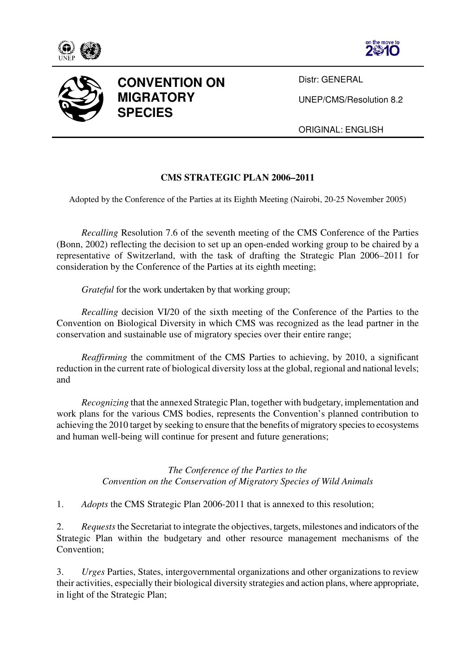





**CONVENTION ON MIGRATORY SPECIES** 

Distr: GENERAL

UNEP/CMS/Resolution 8.2

ORIGINAL: ENGLISH

#### **CMS STRATEGIC PLAN 2006–2011**

Adopted by the Conference of the Parties at its Eighth Meeting (Nairobi, 20-25 November 2005)

*Recalling* Resolution 7.6 of the seventh meeting of the CMS Conference of the Parties (Bonn, 2002) reflecting the decision to set up an open-ended working group to be chaired by a representative of Switzerland, with the task of drafting the Strategic Plan 2006–2011 for consideration by the Conference of the Parties at its eighth meeting;

*Grateful* for the work undertaken by that working group;

*Recalling decision VI/20 of the sixth meeting of the Conference of the Parties to the* Convention on Biological Diversity in which CMS was recognized as the lead partner in the conservation and sustainable use of migratory species over their entire range;

*Reaffirming* the commitment of the CMS Parties to achieving, by 2010, a significant reduction in the current rate of biological diversity loss at the global, regional and national levels; and

*Recognizing* that the annexed Strategic Plan, together with budgetary, implementation and work plans for the various CMS bodies, represents the Convention's planned contribution to achieving the 2010 target by seeking to ensure that the benefits of migratory species to ecosystems and human well-being will continue for present and future generations;

> *The Conference of the Parties to the Convention on the Conservation of Migratory Species of Wild Animals*

1. *Adopts* the CMS Strategic Plan 2006-2011 that is annexed to this resolution;

2. *Requests* the Secretariat to integrate the objectives, targets, milestones and indicators of the Strategic Plan within the budgetary and other resource management mechanisms of the Convention;

3. *Urges* Parties, States, intergovernmental organizations and other organizations to review their activities, especially their biological diversity strategies and action plans, where appropriate, in light of the Strategic Plan;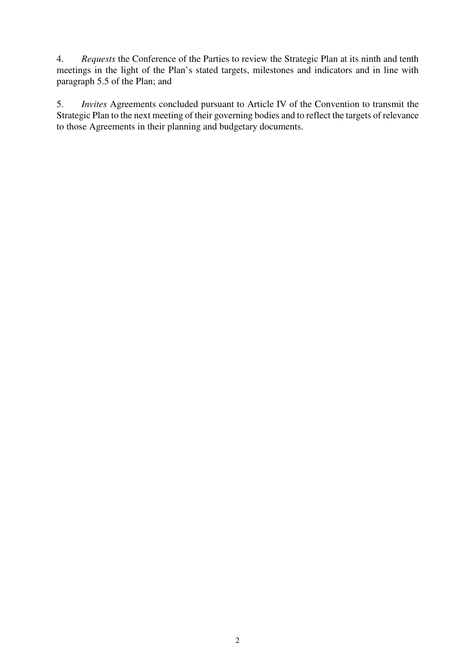4. *Requests* the Conference of the Parties to review the Strategic Plan at its ninth and tenth meetings in the light of the Plan's stated targets, milestones and indicators and in line with paragraph 5.5 of the Plan; and

5. *Invites* Agreements concluded pursuant to Article IV of the Convention to transmit the Strategic Plan to the next meeting of their governing bodies and to reflect the targets of relevance to those Agreements in their planning and budgetary documents.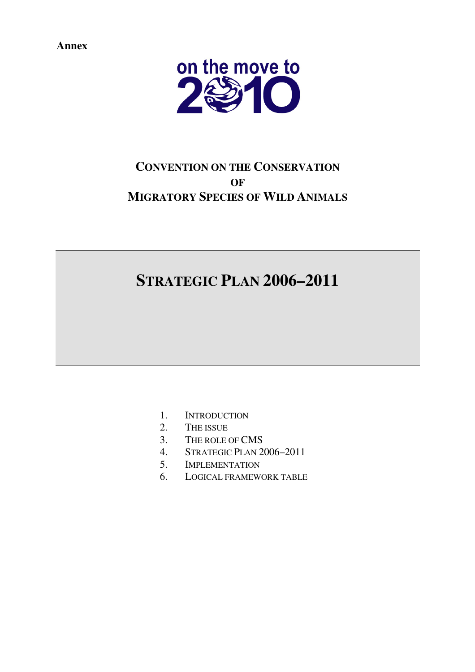

## **CONVENTION ON THE CONSERVATION OF MIGRATORY SPECIES OF WILD ANIMALS**

# **STRATEGIC PLAN 2006–2011**

- 1. INTRODUCTION
- 2. THE ISSUE
- 3. THE ROLE OF CMS
- 4. STRATEGIC PLAN 2006–2011
- 5. IMPLEMENTATION
- 6. LOGICAL FRAMEWORK TABLE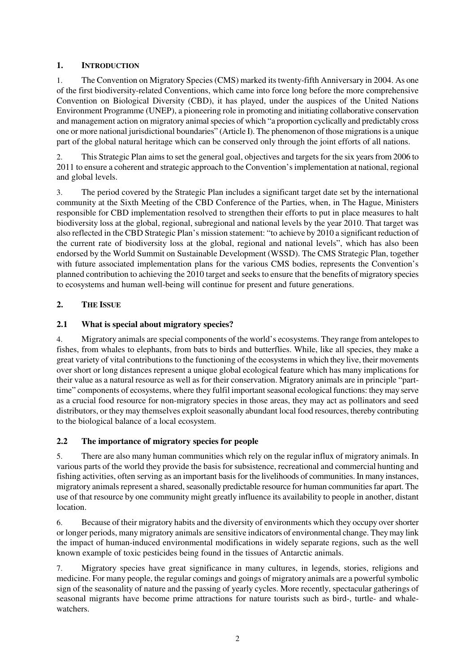#### **1. INTRODUCTION**

1. The Convention on Migratory Species (CMS) marked its twenty-fifth Anniversary in 2004. As one of the first biodiversity-related Conventions, which came into force long before the more comprehensive Convention on Biological Diversity (CBD), it has played, under the auspices of the United Nations Environment Programme (UNEP), a pioneering role in promoting and initiating collaborative conservation and management action on migratory animal species of which "a proportion cyclically and predictably cross one or more national jurisdictional boundaries" (Article I). The phenomenon of those migrations is a unique part of the global natural heritage which can be conserved only through the joint efforts of all nations.

2. This Strategic Plan aims to set the general goal, objectives and targets for the six years from 2006 to 2011 to ensure a coherent and strategic approach to the Convention's implementation at national, regional and global levels.

3. The period covered by the Strategic Plan includes a significant target date set by the international community at the Sixth Meeting of the CBD Conference of the Parties, when, in The Hague, Ministers responsible for CBD implementation resolved to strengthen their efforts to put in place measures to halt biodiversity loss at the global, regional, subregional and national levels by the year 2010. That target was also reflected in the CBD Strategic Plan's mission statement: "to achieve by 2010 a significant reduction of the current rate of biodiversity loss at the global, regional and national levels", which has also been endorsed by the World Summit on Sustainable Development (WSSD). The CMS Strategic Plan, together with future associated implementation plans for the various CMS bodies, represents the Convention's planned contribution to achieving the 2010 target and seeks to ensure that the benefits of migratory species to ecosystems and human well-being will continue for present and future generations.

#### **2. THE ISSUE**

#### **2.1 What is special about migratory species?**

4. Migratory animals are special components of the world's ecosystems. They range from antelopes to fishes, from whales to elephants, from bats to birds and butterflies. While, like all species, they make a great variety of vital contributions to the functioning of the ecosystems in which they live, their movements over short or long distances represent a unique global ecological feature which has many implications for their value as a natural resource as well as for their conservation. Migratory animals are in principle "parttime" components of ecosystems, where they fulfil important seasonal ecological functions: they may serve as a crucial food resource for non-migratory species in those areas, they may act as pollinators and seed distributors, or they may themselves exploit seasonally abundant local food resources, thereby contributing to the biological balance of a local ecosystem.

#### **2.2 The importance of migratory species for people**

5. There are also many human communities which rely on the regular influx of migratory animals. In various parts of the world they provide the basis for subsistence, recreational and commercial hunting and fishing activities, often serving as an important basis for the livelihoods of communities. In many instances, migratory animals represent a shared, seasonally predictable resource for human communities far apart. The use of that resource by one community might greatly influence its availability to people in another, distant location.

6. Because of their migratory habits and the diversity of environments which they occupy over shorter or longer periods, many migratory animals are sensitive indicators of environmental change. They may link the impact of human-induced environmental modifications in widely separate regions, such as the well known example of toxic pesticides being found in the tissues of Antarctic animals.

7. Migratory species have great significance in many cultures, in legends, stories, religions and medicine. For many people, the regular comings and goings of migratory animals are a powerful symbolic sign of the seasonality of nature and the passing of yearly cycles. More recently, spectacular gatherings of seasonal migrants have become prime attractions for nature tourists such as bird-, turtle- and whalewatchers.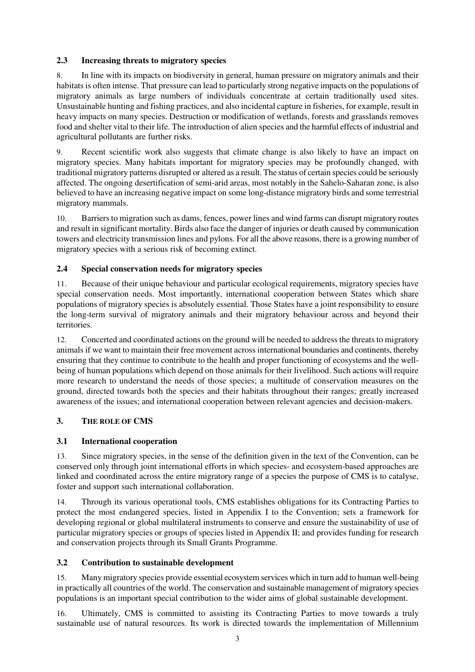#### **2.3 Increasing threats to migratory species**

8. In line with its impacts on biodiversity in general, human pressure on migratory animals and their habitats is often intense. That pressure can lead to particularly strong negative impacts on the populations of migratory animals as large numbers of individuals concentrate at certain traditionally used sites. Unsustainable hunting and fishing practices, and also incidental capture in fisheries, for example, result in heavy impacts on many species. Destruction or modification of wetlands, forests and grasslands removes food and shelter vital to their life. The introduction of alien species and the harmful effects of industrial and agricultural pollutants are further risks.

9. Recent scientific work also suggests that climate change is also likely to have an impact on migratory species. Many habitats important for migratory species may be profoundly changed, with traditional migratory patterns disrupted or altered as a result. The status of certain species could be seriously affected. The ongoing desertification of semi-arid areas, most notably in the Sahelo-Saharan zone, is also believed to have an increasing negative impact on some long-distance migratory birds and some terrestrial migratory mammals.

10. Barriers to migration such as dams, fences, power lines and wind farms can disrupt migratory routes and result in significant mortality. Birds also face the danger of injuries or death caused by communication towers and electricity transmission lines and pylons. For all the above reasons, there is a growing number of migratory species with a serious risk of becoming extinct.

#### **2.4 Special conservation needs for migratory species**

11. Because of their unique behaviour and particular ecological requirements, migratory species have special conservation needs. Most importantly, international cooperation between States which share populations of migratory species is absolutely essential. Those States have a joint responsibility to ensure the long-term survival of migratory animals and their migratory behaviour across and beyond their territories.

12. Concerted and coordinated actions on the ground will be needed to address the threats to migratory animals if we want to maintain their free movement across international boundaries and continents, thereby ensuring that they continue to contribute to the health and proper functioning of ecosystems and the wellbeing of human populations which depend on those animals for their livelihood. Such actions will require more research to understand the needs of those species; a multitude of conservation measures on the ground, directed towards both the species and their habitats throughout their ranges; greatly increased awareness of the issues; and international cooperation between relevant agencies and decision-makers.

#### **3. THE ROLE OF CMS**

#### **3.1 International cooperation**

13. Since migratory species, in the sense of the definition given in the text of the Convention, can be conserved only through joint international efforts in which species- and ecosystem-based approaches are linked and coordinated across the entire migratory range of a species the purpose of CMS is to catalyse, foster and support such international collaboration.

14. Through its various operational tools, CMS establishes obligations for its Contracting Parties to protect the most endangered species, listed in Appendix I to the Convention; sets a framework for developing regional or global multilateral instruments to conserve and ensure the sustainability of use of particular migratory species or groups of species listed in Appendix II; and provides funding for research and conservation projects through its Small Grants Programme.

#### **3.2 Contribution to sustainable development**

15. Many migratory species provide essential ecosystem services which in turn add to human well-being in practically all countries of the world. The conservation and sustainable management of migratory species populations is an important special contribution to the wider aims of global sustainable development.

16. Ultimately, CMS is committed to assisting its Contracting Parties to move towards a truly sustainable use of natural resources. Its work is directed towards the implementation of Millennium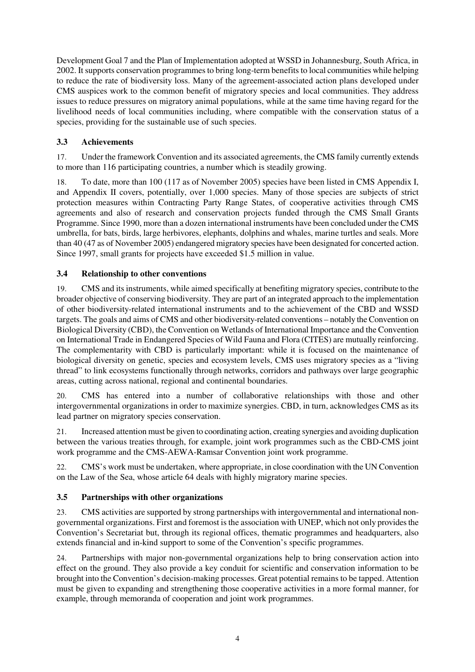Development Goal 7 and the Plan of Implementation adopted at WSSD in Johannesburg, South Africa, in 2002. It supports conservation programmes to bring long-term benefits to local communities while helping to reduce the rate of biodiversity loss. Many of the agreement-associated action plans developed under CMS auspices work to the common benefit of migratory species and local communities. They address issues to reduce pressures on migratory animal populations, while at the same time having regard for the livelihood needs of local communities including, where compatible with the conservation status of a species, providing for the sustainable use of such species.

#### **3.3 Achievements**

17. Under the framework Convention and its associated agreements, the CMS family currently extends to more than 116 participating countries, a number which is steadily growing.

18. To date, more than 100 (117 as of November 2005) species have been listed in CMS Appendix I, and Appendix II covers, potentially, over 1,000 species. Many of those species are subjects of strict protection measures within Contracting Party Range States, of cooperative activities through CMS agreements and also of research and conservation projects funded through the CMS Small Grants Programme. Since 1990, more than a dozen international instruments have been concluded under the CMS umbrella, for bats, birds, large herbivores, elephants, dolphins and whales, marine turtles and seals. More than 40 (47 as of November 2005) endangered migratory species have been designated for concerted action. Since 1997, small grants for projects have exceeded \$1.5 million in value.

#### **3.4 Relationship to other conventions**

19. CMS and its instruments, while aimed specifically at benefiting migratory species, contribute to the broader objective of conserving biodiversity. They are part of an integrated approach to the implementation of other biodiversity-related international instruments and to the achievement of the CBD and WSSD targets. The goals and aims of CMS and other biodiversity-related conventions – notably the Convention on Biological Diversity (CBD), the Convention on Wetlands of International Importance and the Convention on International Trade in Endangered Species of Wild Fauna and Flora (CITES) are mutually reinforcing. The complementarity with CBD is particularly important: while it is focused on the maintenance of biological diversity on genetic, species and ecosystem levels, CMS uses migratory species as a "living thread" to link ecosystems functionally through networks, corridors and pathways over large geographic areas, cutting across national, regional and continental boundaries.

20. CMS has entered into a number of collaborative relationships with those and other intergovernmental organizations in order to maximize synergies. CBD, in turn, acknowledges CMS as its lead partner on migratory species conservation.

21. Increased attention must be given to coordinating action, creating synergies and avoiding duplication between the various treaties through, for example, joint work programmes such as the CBD-CMS joint work programme and the CMS-AEWA-Ramsar Convention joint work programme.

22. CMS's work must be undertaken, where appropriate, in close coordination with the UN Convention on the Law of the Sea, whose article 64 deals with highly migratory marine species.

#### **3.5 Partnerships with other organizations**

23. CMS activities are supported by strong partnerships with intergovernmental and international nongovernmental organizations. First and foremost is the association with UNEP, which not only provides the Convention's Secretariat but, through its regional offices, thematic programmes and headquarters, also extends financial and in-kind support to some of the Convention's specific programmes.

24. Partnerships with major non-governmental organizations help to bring conservation action into effect on the ground. They also provide a key conduit for scientific and conservation information to be brought into the Convention's decision-making processes. Great potential remains to be tapped. Attention must be given to expanding and strengthening those cooperative activities in a more formal manner, for example, through memoranda of cooperation and joint work programmes.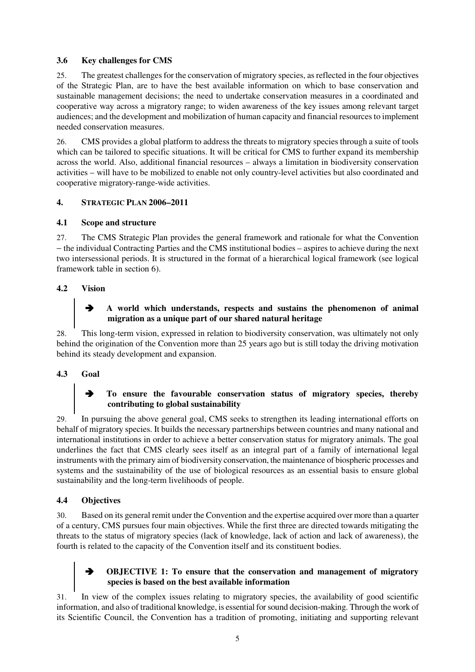#### **3.6 Key challenges for CMS**

25. The greatest challenges for the conservation of migratory species, as reflected in the four objectives of the Strategic Plan, are to have the best available information on which to base conservation and sustainable management decisions; the need to undertake conservation measures in a coordinated and cooperative way across a migratory range; to widen awareness of the key issues among relevant target audiences; and the development and mobilization of human capacity and financial resources to implement needed conservation measures.

26. CMS provides a global platform to address the threats to migratory species through a suite of tools which can be tailored to specific situations. It will be critical for CMS to further expand its membership across the world. Also, additional financial resources – always a limitation in biodiversity conservation activities – will have to be mobilized to enable not only country-level activities but also coordinated and cooperative migratory-range-wide activities.

#### **4. STRATEGIC PLAN 2006–2011**

#### **4.1 Scope and structure**

27. The CMS Strategic Plan provides the general framework and rationale for what the Convention − the individual Contracting Parties and the CMS institutional bodies – aspires to achieve during the next two intersessional periods. It is structured in the format of a hierarchical logical framework (see logical framework table in section 6).

#### **4.2 Vision**

#### **A world which understands, respects and sustains the phenomenon of animal migration as a unique part of our shared natural heritage**

28. This long-term vision, expressed in relation to biodiversity conservation, was ultimately not only behind the origination of the Convention more than 25 years ago but is still today the driving motivation behind its steady development and expansion.

#### **4.3 Goal**

#### **To ensure the favourable conservation status of migratory species, thereby contributing to global sustainability**

29. In pursuing the above general goal, CMS seeks to strengthen its leading international efforts on behalf of migratory species. It builds the necessary partnerships between countries and many national and international institutions in order to achieve a better conservation status for migratory animals. The goal underlines the fact that CMS clearly sees itself as an integral part of a family of international legal instruments with the primary aim of biodiversity conservation, the maintenance of biospheric processes and systems and the sustainability of the use of biological resources as an essential basis to ensure global sustainability and the long-term livelihoods of people.

#### **4.4 Objectives**

30. Based on its general remit under the Convention and the expertise acquired over more than a quarter of a century, CMS pursues four main objectives. While the first three are directed towards mitigating the threats to the status of migratory species (lack of knowledge, lack of action and lack of awareness), the fourth is related to the capacity of the Convention itself and its constituent bodies.

#### **OBJECTIVE 1: To ensure that the conservation and management of migratory species is based on the best available information**

31. In view of the complex issues relating to migratory species, the availability of good scientific information, and also of traditional knowledge, is essential for sound decision-making. Through the work of its Scientific Council, the Convention has a tradition of promoting, initiating and supporting relevant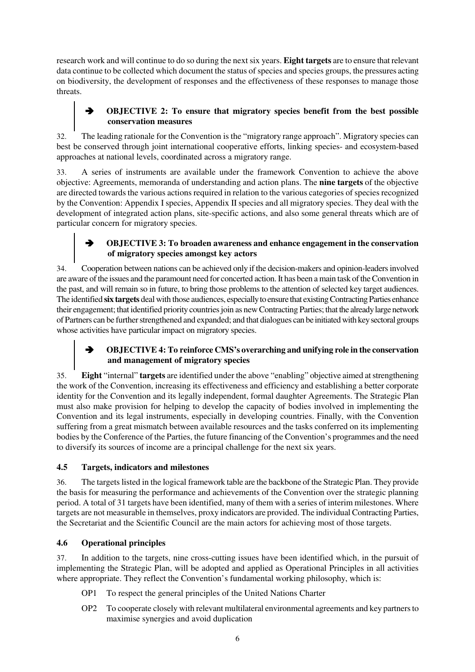research work and will continue to do so during the next six years. **Eight targets** are to ensure that relevant data continue to be collected which document the status of species and species groups, the pressures acting on biodiversity, the development of responses and the effectiveness of these responses to manage those threats.

#### **OBJECTIVE 2: To ensure that migratory species benefit from the best possible conservation measures**

32. The leading rationale for the Convention is the "migratory range approach". Migratory species can best be conserved through joint international cooperative efforts, linking species- and ecosystem-based approaches at national levels, coordinated across a migratory range.

33. A series of instruments are available under the framework Convention to achieve the above objective: Agreements, memoranda of understanding and action plans. The **nine targets** of the objective are directed towards the various actions required in relation to the various categories of species recognized by the Convention: Appendix I species, Appendix II species and all migratory species. They deal with the development of integrated action plans, site-specific actions, and also some general threats which are of particular concern for migratory species.

#### **OBJECTIVE 3: To broaden awareness and enhance engagement in the conservation of migratory species amongst key actors**

34. Cooperation between nations can be achieved only if the decision-makers and opinion-leaders involved are aware of the issues and the paramount need for concerted action. It has been a main task of the Convention in the past, and will remain so in future, to bring those problems to the attention of selected key target audiences. The identified **six targets** deal with those audiences, especially to ensure that existing Contracting Parties enhance their engagement; that identified priority countries join as new Contracting Parties; that the already large network of Partners can be further strengthened and expanded; and that dialogues can be initiated with key sectoral groups whose activities have particular impact on migratory species.

#### **OBJECTIVE 4: To reinforce CMS's overarching and unifying role in the conservation and management of migratory species**

35. **Eight** "internal" **targets** are identified under the above "enabling" objective aimed at strengthening the work of the Convention, increasing its effectiveness and efficiency and establishing a better corporate identity for the Convention and its legally independent, formal daughter Agreements. The Strategic Plan must also make provision for helping to develop the capacity of bodies involved in implementing the Convention and its legal instruments, especially in developing countries. Finally, with the Convention suffering from a great mismatch between available resources and the tasks conferred on its implementing bodies by the Conference of the Parties, the future financing of the Convention's programmes and the need to diversify its sources of income are a principal challenge for the next six years.

### **4.5 Targets, indicators and milestones**

36. The targets listed in the logical framework table are the backbone of the Strategic Plan. They provide the basis for measuring the performance and achievements of the Convention over the strategic planning period. A total of 31 targets have been identified, many of them with a series of interim milestones. Where targets are not measurable in themselves, proxy indicators are provided. The individual Contracting Parties, the Secretariat and the Scientific Council are the main actors for achieving most of those targets.

### **4.6 Operational principles**

37. In addition to the targets, nine cross-cutting issues have been identified which, in the pursuit of implementing the Strategic Plan, will be adopted and applied as Operational Principles in all activities where appropriate. They reflect the Convention's fundamental working philosophy, which is:

- OP1 To respect the general principles of the United Nations Charter
- OP2 To cooperate closely with relevant multilateral environmental agreements and key partners to maximise synergies and avoid duplication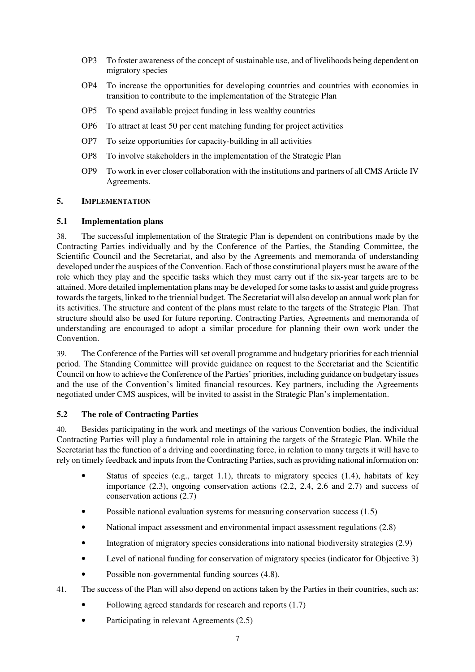- OP3 To foster awareness of the concept of sustainable use, and of livelihoods being dependent on migratory species
- OP4 To increase the opportunities for developing countries and countries with economies in transition to contribute to the implementation of the Strategic Plan
- OP5 To spend available project funding in less wealthy countries
- OP6 To attract at least 50 per cent matching funding for project activities
- OP7 To seize opportunities for capacity-building in all activities
- OP8 To involve stakeholders in the implementation of the Strategic Plan
- OP9 To work in ever closer collaboration with the institutions and partners of all CMS Article IV Agreements.

#### **5. IMPLEMENTATION**

#### **5.1 Implementation plans**

38. The successful implementation of the Strategic Plan is dependent on contributions made by the Contracting Parties individually and by the Conference of the Parties, the Standing Committee, the Scientific Council and the Secretariat, and also by the Agreements and memoranda of understanding developed under the auspices of the Convention. Each of those constitutional players must be aware of the role which they play and the specific tasks which they must carry out if the six-year targets are to be attained. More detailed implementation plans may be developed for some tasks to assist and guide progress towards the targets, linked to the triennial budget. The Secretariat will also develop an annual work plan for its activities. The structure and content of the plans must relate to the targets of the Strategic Plan. That structure should also be used for future reporting. Contracting Parties, Agreements and memoranda of understanding are encouraged to adopt a similar procedure for planning their own work under the Convention.

39. The Conference of the Parties will set overall programme and budgetary priorities for each triennial period. The Standing Committee will provide guidance on request to the Secretariat and the Scientific Council on how to achieve the Conference of the Parties' priorities, including guidance on budgetary issues and the use of the Convention's limited financial resources. Key partners, including the Agreements negotiated under CMS auspices, will be invited to assist in the Strategic Plan's implementation.

#### **5.2 The role of Contracting Parties**

40. Besides participating in the work and meetings of the various Convention bodies, the individual Contracting Parties will play a fundamental role in attaining the targets of the Strategic Plan. While the Secretariat has the function of a driving and coordinating force, in relation to many targets it will have to rely on timely feedback and inputs from the Contracting Parties, such as providing national information on:

- Status of species (e.g., target 1.1), threats to migratory species (1.4), habitats of key importance (2.3), ongoing conservation actions (2.2, 2.4, 2.6 and 2.7) and success of conservation actions (2.7)
- Possible national evaluation systems for measuring conservation success (1.5)
- National impact assessment and environmental impact assessment regulations  $(2.8)$
- Integration of migratory species considerations into national biodiversity strategies (2.9)
- Level of national funding for conservation of migratory species (indicator for Objective 3)
- Possible non-governmental funding sources (4.8).
- 41. The success of the Plan will also depend on actions taken by the Parties in their countries, such as:
	- Following agreed standards for research and reports  $(1.7)$
	- Participating in relevant Agreements (2.5)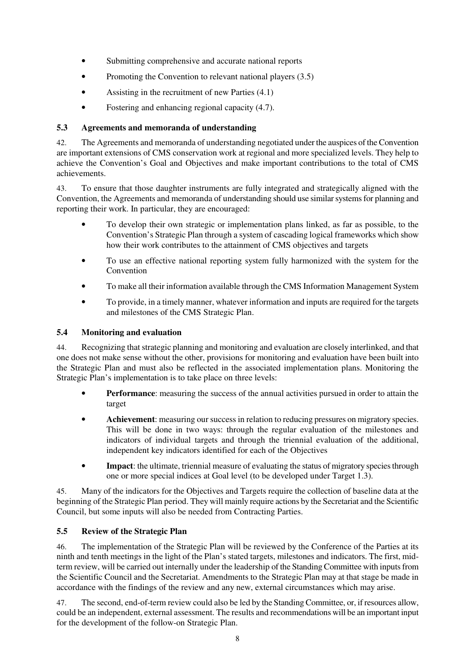- Submitting comprehensive and accurate national reports
- Promoting the Convention to relevant national players (3.5)
- Assisting in the recruitment of new Parties  $(4.1)$
- Fostering and enhancing regional capacity  $(4.7)$ .

#### **5.3 Agreements and memoranda of understanding**

42. The Agreements and memoranda of understanding negotiated under the auspices of the Convention are important extensions of CMS conservation work at regional and more specialized levels. They help to achieve the Convention's Goal and Objectives and make important contributions to the total of CMS achievements.

43. To ensure that those daughter instruments are fully integrated and strategically aligned with the Convention, the Agreements and memoranda of understanding should use similar systems for planning and reporting their work. In particular, they are encouraged:

- To develop their own strategic or implementation plans linked, as far as possible, to the Convention's Strategic Plan through a system of cascading logical frameworks which show how their work contributes to the attainment of CMS objectives and targets
- To use an effective national reporting system fully harmonized with the system for the **Convention**
- To make all their information available through the CMS Information Management System
- To provide, in a timely manner, whatever information and inputs are required for the targets and milestones of the CMS Strategic Plan.

#### **5.4 Monitoring and evaluation**

44. Recognizing that strategic planning and monitoring and evaluation are closely interlinked, and that one does not make sense without the other, provisions for monitoring and evaluation have been built into the Strategic Plan and must also be reflected in the associated implementation plans. Monitoring the Strategic Plan's implementation is to take place on three levels:

- **Performance**: measuring the success of the annual activities pursued in order to attain the target
- **Achievement**: measuring our success in relation to reducing pressures on migratory species. This will be done in two ways: through the regular evaluation of the milestones and indicators of individual targets and through the triennial evaluation of the additional, independent key indicators identified for each of the Objectives
- **Impact**: the ultimate, triennial measure of evaluating the status of migratory species through one or more special indices at Goal level (to be developed under Target 1.3).

45. Many of the indicators for the Objectives and Targets require the collection of baseline data at the beginning of the Strategic Plan period. They will mainly require actions by the Secretariat and the Scientific Council, but some inputs will also be needed from Contracting Parties.

#### **5.5 Review of the Strategic Plan**

46. The implementation of the Strategic Plan will be reviewed by the Conference of the Parties at its ninth and tenth meetings in the light of the Plan's stated targets, milestones and indicators. The first, midterm review, will be carried out internally under the leadership of the Standing Committee with inputs from the Scientific Council and the Secretariat. Amendments to the Strategic Plan may at that stage be made in accordance with the findings of the review and any new, external circumstances which may arise.

47. The second, end-of-term review could also be led by the Standing Committee, or, if resources allow, could be an independent, external assessment. The results and recommendations will be an important input for the development of the follow-on Strategic Plan.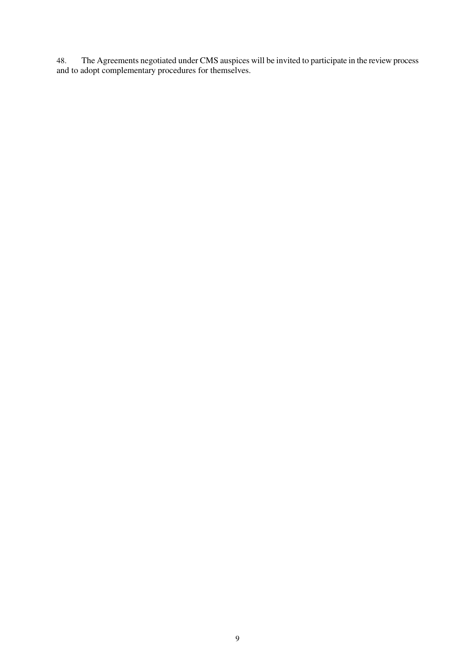48. The Agreements negotiated under CMS auspices will be invited to participate in the review process and to adopt complementary procedures for themselves.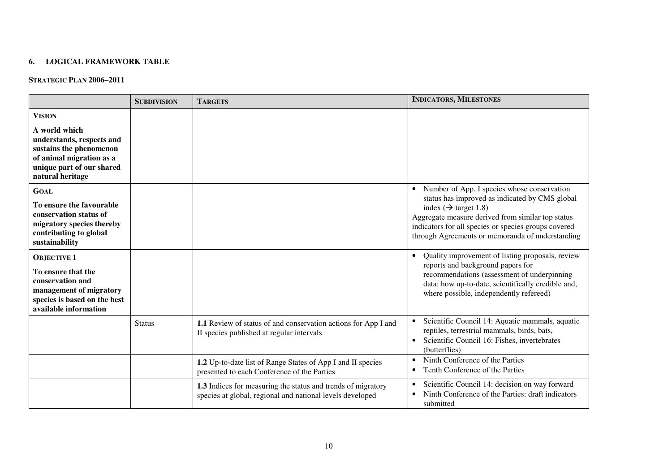#### **6. LOGICAL FRAMEWORK TABLE**

#### **STRATEGIC PLAN 2006–2011**

|                                                                                                                                                                     | <b>SUBDIVISION</b> | <b>TARGETS</b>                                                                                                            | <b>INDICATORS, MILESTONES</b>                                                                                                                                                                                                                                                                                    |
|---------------------------------------------------------------------------------------------------------------------------------------------------------------------|--------------------|---------------------------------------------------------------------------------------------------------------------------|------------------------------------------------------------------------------------------------------------------------------------------------------------------------------------------------------------------------------------------------------------------------------------------------------------------|
| <b>VISION</b><br>A world which<br>understands, respects and<br>sustains the phenomenon<br>of animal migration as a<br>unique part of our shared<br>natural heritage |                    |                                                                                                                           |                                                                                                                                                                                                                                                                                                                  |
| <b>GOAL</b><br>To ensure the favourable<br>conservation status of<br>migratory species thereby<br>contributing to global<br>sustainability                          |                    |                                                                                                                           | Number of App. I species whose conservation<br>$\bullet$<br>status has improved as indicated by CMS global<br>index ( $\rightarrow$ target 1.8)<br>Aggregate measure derived from similar top status<br>indicators for all species or species groups covered<br>through Agreements or memoranda of understanding |
| <b>OBJECTIVE 1</b><br>To ensure that the<br>conservation and<br>management of migratory<br>species is based on the best<br>available information                    |                    |                                                                                                                           | Quality improvement of listing proposals, review<br>reports and background papers for<br>recommendations (assessment of underpinning<br>data: how up-to-date, scientifically credible and,<br>where possible, independently refereed)                                                                            |
|                                                                                                                                                                     | <b>Status</b>      | 1.1 Review of status of and conservation actions for App I and<br>II species published at regular intervals               | Scientific Council 14: Aquatic mammals, aquatic<br>$\bullet$<br>reptiles, terrestrial mammals, birds, bats,<br>Scientific Council 16: Fishes, invertebrates<br>(butterflies)                                                                                                                                     |
|                                                                                                                                                                     |                    | 1.2 Up-to-date list of Range States of App I and II species<br>presented to each Conference of the Parties                | Ninth Conference of the Parties<br>Tenth Conference of the Parties<br>$\bullet$                                                                                                                                                                                                                                  |
|                                                                                                                                                                     |                    | 1.3 Indices for measuring the status and trends of migratory<br>species at global, regional and national levels developed | Scientific Council 14: decision on way forward<br>$\bullet$<br>Ninth Conference of the Parties: draft indicators<br>submitted                                                                                                                                                                                    |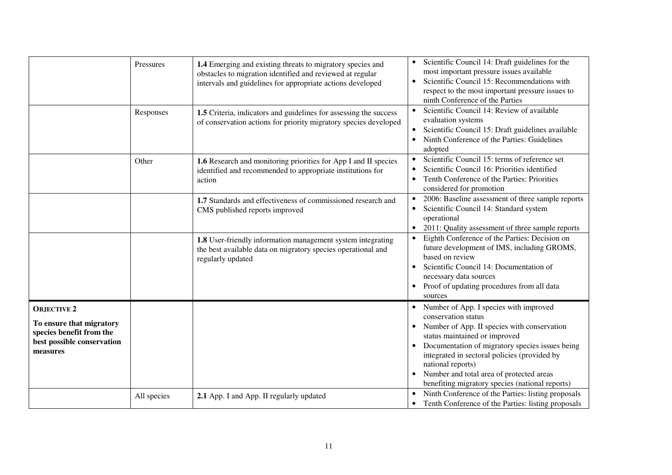|                                                                                                                      | Pressures   | 1.4 Emerging and existing threats to migratory species and<br>obstacles to migration identified and reviewed at regular<br>intervals and guidelines for appropriate actions developed | Scientific Council 14: Draft guidelines for the<br>most important pressure issues available<br>Scientific Council 15: Recommendations with<br>$\bullet$<br>respect to the most important pressure issues to<br>ninth Conference of the Parties                                                                                                                                                 |
|----------------------------------------------------------------------------------------------------------------------|-------------|---------------------------------------------------------------------------------------------------------------------------------------------------------------------------------------|------------------------------------------------------------------------------------------------------------------------------------------------------------------------------------------------------------------------------------------------------------------------------------------------------------------------------------------------------------------------------------------------|
|                                                                                                                      | Responses   | 1.5 Criteria, indicators and guidelines for assessing the success<br>of conservation actions for priority migratory species developed                                                 | Scientific Council 14: Review of available<br>evaluation systems<br>Scientific Council 15: Draft guidelines available<br>Ninth Conference of the Parties: Guidelines<br>$\bullet$<br>adopted                                                                                                                                                                                                   |
|                                                                                                                      | Other       | 1.6 Research and monitoring priorities for App I and II species<br>identified and recommended to appropriate institutions for<br>action                                               | Scientific Council 15: terms of reference set<br>Scientific Council 16: Priorities identified<br>Tenth Conference of the Parties: Priorities<br>considered for promotion                                                                                                                                                                                                                       |
|                                                                                                                      |             | 1.7 Standards and effectiveness of commissioned research and<br>CMS published reports improved                                                                                        | 2006: Baseline assessment of three sample reports<br>$\bullet$<br>Scientific Council 14: Standard system<br>$\bullet$<br>operational<br>2011: Quality assessment of three sample reports<br>$\bullet$                                                                                                                                                                                          |
|                                                                                                                      |             | 1.8 User-friendly information management system integrating<br>the best available data on migratory species operational and<br>regularly updated                                      | Eighth Conference of the Parties: Decision on<br>$\bullet$<br>future development of IMS, including GROMS,<br>based on review<br>Scientific Council 14: Documentation of<br>necessary data sources<br>Proof of updating procedures from all data<br>sources                                                                                                                                     |
| <b>OBJECTIVE 2</b><br>To ensure that migratory<br>species benefit from the<br>best possible conservation<br>measures |             |                                                                                                                                                                                       | Number of App. I species with improved<br>conservation status<br>Number of App. II species with conservation<br>$\bullet$<br>status maintained or improved<br>Documentation of migratory species issues being<br>$\bullet$<br>integrated in sectoral policies (provided by<br>national reports)<br>Number and total area of protected areas<br>benefiting migratory species (national reports) |
|                                                                                                                      | All species | 2.1 App. I and App. II regularly updated                                                                                                                                              | Ninth Conference of the Parties: listing proposals<br>Tenth Conference of the Parties: listing proposals<br>$\bullet$                                                                                                                                                                                                                                                                          |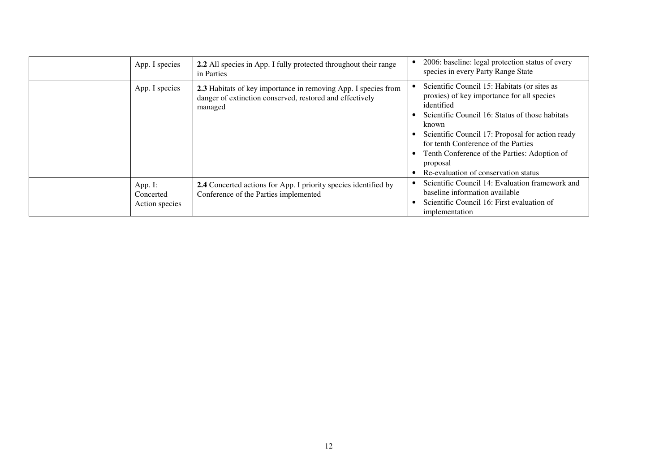| App. I species                         | 2.2 All species in App. I fully protected throughout their range<br>in Parties                                                        | 2006: baseline: legal protection status of every<br>species in every Party Range State                                                                                                                                                                                                                                                                              |
|----------------------------------------|---------------------------------------------------------------------------------------------------------------------------------------|---------------------------------------------------------------------------------------------------------------------------------------------------------------------------------------------------------------------------------------------------------------------------------------------------------------------------------------------------------------------|
| App. I species                         | 2.3 Habitats of key importance in removing App. I species from<br>danger of extinction conserved, restored and effectively<br>managed | Scientific Council 15: Habitats (or sites as<br>proxies) of key importance for all species<br>identified<br>Scientific Council 16: Status of those habitats<br>known<br>Scientific Council 17: Proposal for action ready<br>for tenth Conference of the Parties<br>Tenth Conference of the Parties: Adoption of<br>proposal<br>Re-evaluation of conservation status |
| App. I:<br>Concerted<br>Action species | 2.4 Concerted actions for App. I priority species identified by<br>Conference of the Parties implemented                              | Scientific Council 14: Evaluation framework and<br>$\bullet$<br>baseline information available<br>Scientific Council 16: First evaluation of<br>implementation                                                                                                                                                                                                      |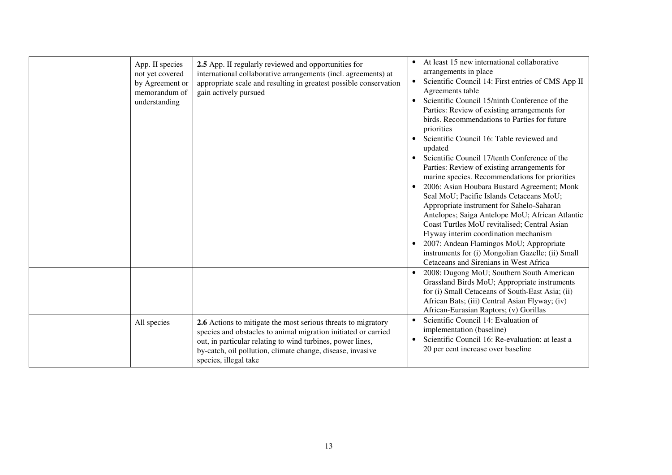| App. II species<br>not yet covered<br>by Agreement or<br>memorandum of<br>understanding | 2.5 App. II regularly reviewed and opportunities for<br>international collaborative arrangements (incl. agreements) at<br>appropriate scale and resulting in greatest possible conservation<br>gain actively pursued                                                                 | $\bullet$ | At least 15 new international collaborative<br>arrangements in place<br>Scientific Council 14: First entries of CMS App II<br>Agreements table<br>Scientific Council 15/ninth Conference of the<br>Parties: Review of existing arrangements for<br>birds. Recommendations to Parties for future<br>priorities<br>Scientific Council 16: Table reviewed and<br>updated<br>Scientific Council 17/tenth Conference of the<br>Parties: Review of existing arrangements for<br>marine species. Recommendations for priorities<br>2006: Asian Houbara Bustard Agreement; Monk<br>Seal MoU; Pacific Islands Cetaceans MoU;<br>Appropriate instrument for Sahelo-Saharan<br>Antelopes; Saiga Antelope MoU; African Atlantic<br>Coast Turtles MoU revitalised; Central Asian<br>Flyway interim coordination mechanism<br>2007: Andean Flamingos MoU; Appropriate<br>instruments for (i) Mongolian Gazelle; (ii) Small<br>Cetaceans and Sirenians in West Africa |
|-----------------------------------------------------------------------------------------|--------------------------------------------------------------------------------------------------------------------------------------------------------------------------------------------------------------------------------------------------------------------------------------|-----------|--------------------------------------------------------------------------------------------------------------------------------------------------------------------------------------------------------------------------------------------------------------------------------------------------------------------------------------------------------------------------------------------------------------------------------------------------------------------------------------------------------------------------------------------------------------------------------------------------------------------------------------------------------------------------------------------------------------------------------------------------------------------------------------------------------------------------------------------------------------------------------------------------------------------------------------------------------|
|                                                                                         |                                                                                                                                                                                                                                                                                      | $\bullet$ | 2008: Dugong MoU; Southern South American<br>Grassland Birds MoU; Appropriate instruments<br>for (i) Small Cetaceans of South-East Asia; (ii)<br>African Bats; (iii) Central Asian Flyway; (iv)<br>African-Eurasian Raptors; (v) Gorillas<br>Scientific Council 14: Evaluation of                                                                                                                                                                                                                                                                                                                                                                                                                                                                                                                                                                                                                                                                      |
| All species                                                                             | 2.6 Actions to mitigate the most serious threats to migratory<br>species and obstacles to animal migration initiated or carried<br>out, in particular relating to wind turbines, power lines,<br>by-catch, oil pollution, climate change, disease, invasive<br>species, illegal take | $\bullet$ | implementation (baseline)<br>Scientific Council 16: Re-evaluation: at least a<br>20 per cent increase over baseline                                                                                                                                                                                                                                                                                                                                                                                                                                                                                                                                                                                                                                                                                                                                                                                                                                    |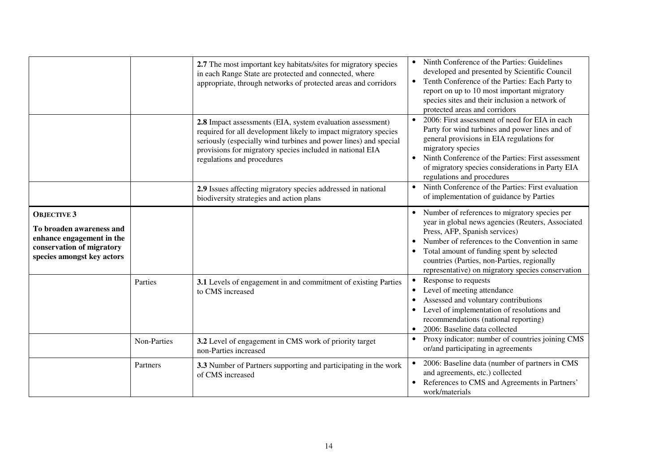|                                                                                                                                        |             | 2.7 The most important key habitats/sites for migratory species<br>in each Range State are protected and connected, where<br>appropriate, through networks of protected areas and corridors                                                                                                  | Ninth Conference of the Parties: Guidelines<br>developed and presented by Scientific Council<br>Tenth Conference of the Parties: Each Party to<br>report on up to 10 most important migratory<br>species sites and their inclusion a network of<br>protected areas and corridors                                                         |
|----------------------------------------------------------------------------------------------------------------------------------------|-------------|----------------------------------------------------------------------------------------------------------------------------------------------------------------------------------------------------------------------------------------------------------------------------------------------|------------------------------------------------------------------------------------------------------------------------------------------------------------------------------------------------------------------------------------------------------------------------------------------------------------------------------------------|
|                                                                                                                                        |             | 2.8 Impact assessments (EIA, system evaluation assessment)<br>required for all development likely to impact migratory species<br>seriously (especially wind turbines and power lines) and special<br>provisions for migratory species included in national EIA<br>regulations and procedures | 2006: First assessment of need for EIA in each<br>Party for wind turbines and power lines and of<br>general provisions in EIA regulations for<br>migratory species<br>Ninth Conference of the Parties: First assessment<br>$\bullet$<br>of migratory species considerations in Party EIA<br>regulations and procedures                   |
|                                                                                                                                        |             | 2.9 Issues affecting migratory species addressed in national<br>biodiversity strategies and action plans                                                                                                                                                                                     | Ninth Conference of the Parties: First evaluation<br>of implementation of guidance by Parties                                                                                                                                                                                                                                            |
| <b>OBJECTIVE 3</b><br>To broaden awareness and<br>enhance engagement in the<br>conservation of migratory<br>species amongst key actors |             |                                                                                                                                                                                                                                                                                              | • Number of references to migratory species per<br>year in global news agencies (Reuters, Associated<br>Press, AFP, Spanish services)<br>Number of references to the Convention in same<br>Total amount of funding spent by selected<br>countries (Parties, non-Parties, regionally<br>representative) on migratory species conservation |
|                                                                                                                                        | Parties     | 3.1 Levels of engagement in and commitment of existing Parties<br>to CMS increased                                                                                                                                                                                                           | Response to requests<br>Level of meeting attendance<br>Assessed and voluntary contributions<br>Level of implementation of resolutions and<br>recommendations (national reporting)<br>2006: Baseline data collected                                                                                                                       |
|                                                                                                                                        | Non-Parties | 3.2 Level of engagement in CMS work of priority target<br>non-Parties increased                                                                                                                                                                                                              | Proxy indicator: number of countries joining CMS<br>$\bullet$<br>or/and participating in agreements                                                                                                                                                                                                                                      |
|                                                                                                                                        | Partners    | 3.3 Number of Partners supporting and participating in the work<br>of CMS increased                                                                                                                                                                                                          | 2006: Baseline data (number of partners in CMS<br>and agreements, etc.) collected<br>References to CMS and Agreements in Partners'<br>work/materials                                                                                                                                                                                     |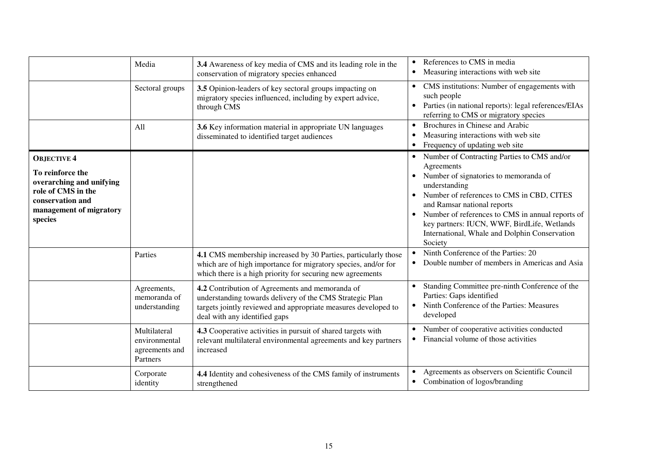|                                                                                                                                                    | Media                                                       | 3.4 Awareness of key media of CMS and its leading role in the<br>conservation of migratory species enhanced                                                                                                    | References to CMS in media<br>Measuring interactions with web site<br>$\bullet$                                                                                                                                                                                                                                                                                             |
|----------------------------------------------------------------------------------------------------------------------------------------------------|-------------------------------------------------------------|----------------------------------------------------------------------------------------------------------------------------------------------------------------------------------------------------------------|-----------------------------------------------------------------------------------------------------------------------------------------------------------------------------------------------------------------------------------------------------------------------------------------------------------------------------------------------------------------------------|
|                                                                                                                                                    | Sectoral groups                                             | 3.5 Opinion-leaders of key sectoral groups impacting on<br>migratory species influenced, including by expert advice,<br>through CMS                                                                            | CMS institutions: Number of engagements with<br>$\bullet$<br>such people<br>Parties (in national reports): legal references/EIAs<br>referring to CMS or migratory species                                                                                                                                                                                                   |
|                                                                                                                                                    | All                                                         | 3.6 Key information material in appropriate UN languages<br>disseminated to identified target audiences                                                                                                        | Brochures in Chinese and Arabic<br>Measuring interactions with web site<br>$\bullet$<br>Frequency of updating web site<br>$\bullet$                                                                                                                                                                                                                                         |
| <b>OBJECTIVE 4</b><br>To reinforce the<br>overarching and unifying<br>role of CMS in the<br>conservation and<br>management of migratory<br>species |                                                             |                                                                                                                                                                                                                | Number of Contracting Parties to CMS and/or<br>Agreements<br>Number of signatories to memoranda of<br>understanding<br>Number of references to CMS in CBD, CITES<br>$\bullet$<br>and Ramsar national reports<br>Number of references to CMS in annual reports of<br>key partners: IUCN, WWF, BirdLife, Wetlands<br>International, Whale and Dolphin Conservation<br>Society |
|                                                                                                                                                    | Parties                                                     | 4.1 CMS membership increased by 30 Parties, particularly those<br>which are of high importance for migratory species, and/or for<br>which there is a high priority for securing new agreements                 | Ninth Conference of the Parties: 20<br>Double number of members in Americas and Asia                                                                                                                                                                                                                                                                                        |
|                                                                                                                                                    | Agreements,<br>memoranda of<br>understanding                | 4.2 Contribution of Agreements and memoranda of<br>understanding towards delivery of the CMS Strategic Plan<br>targets jointly reviewed and appropriate measures developed to<br>deal with any identified gaps | Standing Committee pre-ninth Conference of the<br>Parties: Gaps identified<br>Ninth Conference of the Parties: Measures<br>$\bullet$<br>developed                                                                                                                                                                                                                           |
|                                                                                                                                                    | Multilateral<br>environmental<br>agreements and<br>Partners | 4.3 Cooperative activities in pursuit of shared targets with<br>relevant multilateral environmental agreements and key partners<br>increased                                                                   | Number of cooperative activities conducted<br>$\bullet$<br>Financial volume of those activities                                                                                                                                                                                                                                                                             |
|                                                                                                                                                    | Corporate<br>identity                                       | 4.4 Identity and cohesiveness of the CMS family of instruments<br>strengthened                                                                                                                                 | Agreements as observers on Scientific Council<br>Combination of logos/branding<br>$\bullet$                                                                                                                                                                                                                                                                                 |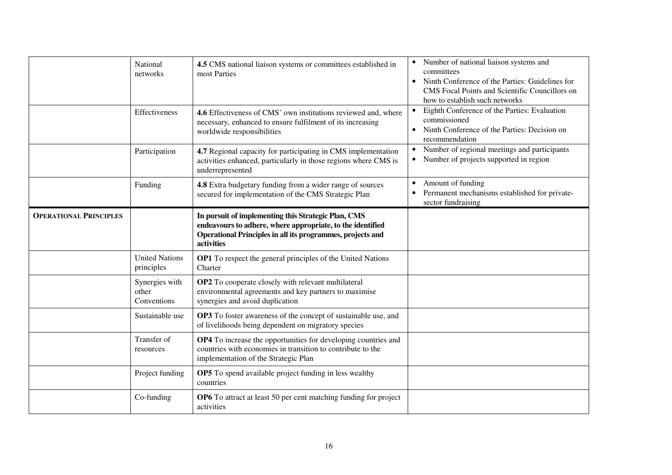|                               | National<br>networks                   | 4.5 CMS national liaison systems or committees established in<br>most Parties                                                                                                                 | Number of national liaison systems and<br>committees<br>Ninth Conference of the Parties: Guidelines for<br>$\bullet$<br>CMS Focal Points and Scientific Councillors on<br>how to establish such networks |
|-------------------------------|----------------------------------------|-----------------------------------------------------------------------------------------------------------------------------------------------------------------------------------------------|----------------------------------------------------------------------------------------------------------------------------------------------------------------------------------------------------------|
|                               | Effectiveness                          | 4.6 Effectiveness of CMS' own institutions reviewed and, where<br>necessary, enhanced to ensure fulfilment of its increasing<br>worldwide responsibilities                                    | Eighth Conference of the Parties: Evaluation<br>commissioned<br>Ninth Conference of the Parties: Decision on<br>$\bullet$<br>recommendation                                                              |
|                               | Participation                          | 4.7 Regional capacity for participating in CMS implementation<br>activities enhanced, particularly in those regions where CMS is<br>underrepresented                                          | Number of regional meetings and participants<br>Number of projects supported in region<br>$\bullet$                                                                                                      |
|                               | Funding                                | 4.8 Extra budgetary funding from a wider range of sources<br>secured for implementation of the CMS Strategic Plan                                                                             | Amount of funding<br>$\bullet$<br>Permanent mechanisms established for private-<br>sector fundraising                                                                                                    |
| <b>OPERATIONAL PRINCIPLES</b> |                                        | In pursuit of implementing this Strategic Plan, CMS<br>endeavours to adhere, where appropriate, to the identified<br>Operational Principles in all its programmes, projects and<br>activities |                                                                                                                                                                                                          |
|                               | <b>United Nations</b><br>principles    | <b>OP1</b> To respect the general principles of the United Nations<br>Charter                                                                                                                 |                                                                                                                                                                                                          |
|                               | Synergies with<br>other<br>Conventions | OP2 To cooperate closely with relevant multilateral<br>environmental agreements and key partners to maximise<br>synergies and avoid duplication                                               |                                                                                                                                                                                                          |
|                               | Sustainable use                        | <b>OP3</b> To foster awareness of the concept of sustainable use, and<br>of livelihoods being dependent on migratory species                                                                  |                                                                                                                                                                                                          |
|                               | Transfer of<br>resources               | <b>OP4</b> To increase the opportunities for developing countries and<br>countries with economies in transition to contribute to the<br>implementation of the Strategic Plan                  |                                                                                                                                                                                                          |
|                               | Project funding                        | <b>OP5</b> To spend available project funding in less wealthy<br>countries                                                                                                                    |                                                                                                                                                                                                          |
|                               | Co-funding                             | <b>OP6</b> To attract at least 50 per cent matching funding for project<br>activities                                                                                                         |                                                                                                                                                                                                          |